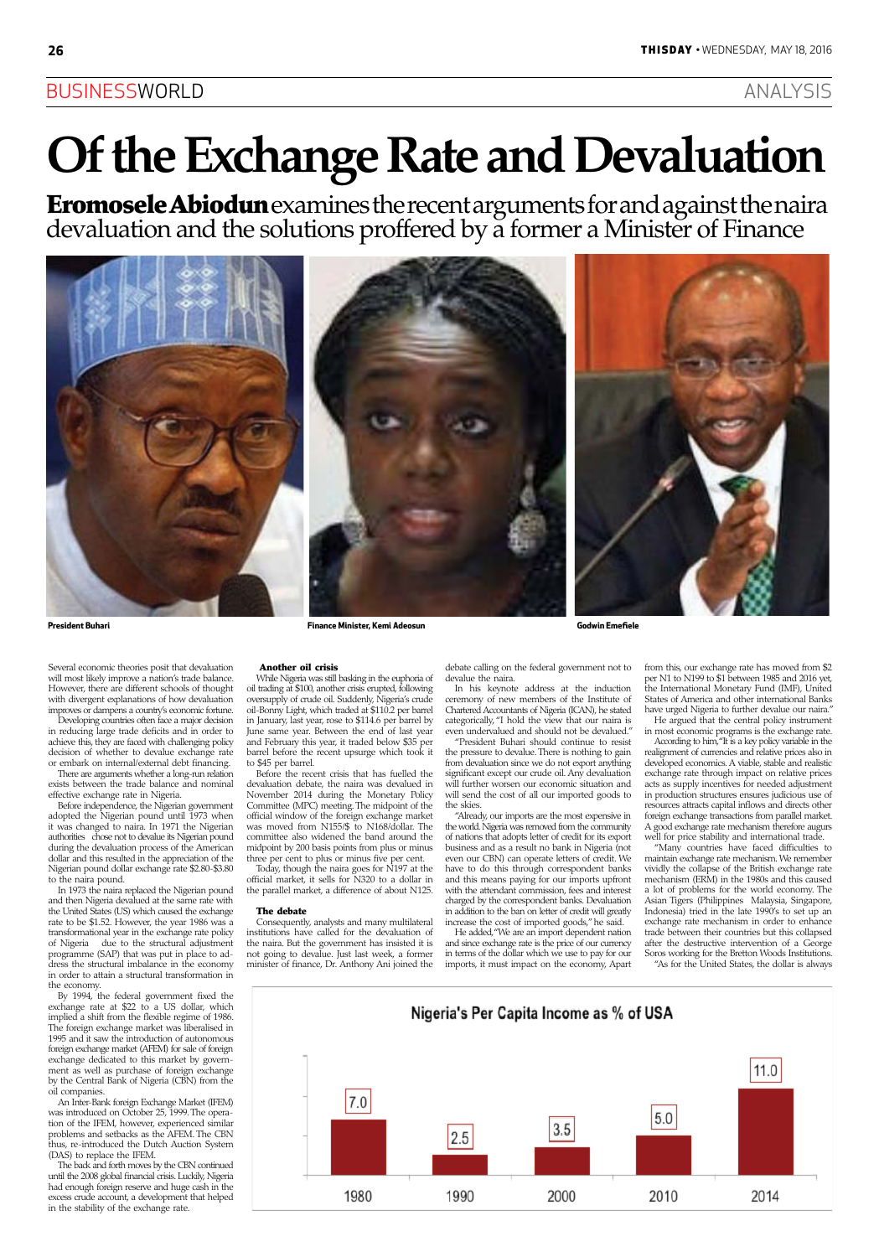### BUSINESSWORLD ANALYSIS

# **Of the Exchange Rate and Devaluation**

Several economic theories posit that devaluation will most likely improve a nation's trade balance. However, there are different schools of thought with divergent explanations of how devaluation improves or dampens a country's economic fortune.

Developing countries often face a major decision in reducing large trade deficits and in order to achieve this, they are faced with challenging policy decision of whether to devalue exchange rate or embark on internal/external debt financing.

There are arguments whether a long-run relation exists between the trade balance and nominal effective exchange rate in Nigeria.

Before independence, the Nigerian government adopted the Nigerian pound until 1973 when it was changed to naira. In 1971 the Nigerian authorities chose not to devalue its Nigerian pound during the devaluation process of the American dollar and this resulted in the appreciation of the Nigerian pound dollar exchange rate \$2.80-\$3.80 to the naira pound.

In 1973 the naira replaced the Nigerian pound and then Nigeria devalued at the same rate with the United States (US) which caused the exchange rate to be \$1.52. However, the year 1986 was a transformational year in the exchange rate policy of Nigeria due to the structural adjustment programme (SAP) that was put in place to ad-

dress the structural imbalance in the economy in order to attain a structural transformation in the economy.

By 1994, the federal government fixed the exchange rate at \$22 to a US dollar, which implied a shift from the flexible regime of 1986. The foreign exchange market was liberalised in 1995 and it saw the introduction of autonomous foreign exchange market (AFEM) for sale of foreign exchange dedicated to this market by government as well as purchase of foreign exchange by the Central Bank of Nigeria (CBN) from the oil companies.

An Inter-Bank foreign Exchange Market (IFEM) was introduced on October 25, 1999. The operation of the IFEM, however, experienced similar problems and setbacks as the AFEM. The CBN thus, re-introduced the Dutch Auction System (DAS) to replace the IFEM.

The back and forth moves by the CBN continued until the 2008 global financial crisis. Luckily, Nigeria had enough foreign reserve and huge cash in the excess crude account, a development that helped in the stability of the exchange rate.

Eromosele Abiodun examines the recent arguments for and against the naira devaluation and the solutions proffered by a former a Minister of Finance



### Another oil crisis

While Nigeria was still basking in the euphoria of oil trading at \$100, another crisis erupted, following oversupply of crude oil. Suddenly, Nigeria's crude oil-Bonny Light, which traded at \$110.2 per barrel in January, last year, rose to \$114.6 per barrel by June same year. Between the end of last year and February this year, it traded below \$35 per barrel before the recent upsurge which took it to \$45 per barrel.

According to him, "It is a key policy variable in the realignment of currencies and relative prices also in developed economics. A viable, stable and realistic exchange rate through impact on relative prices acts as supply incentives for needed adjustment in production structures ensures judicious use of resources attracts capital inflows and directs other foreign exchange transactions from parallel market. A good exchange rate mechanism therefore augurs well for price stability and international trade.

Before the recent crisis that has fuelled the devaluation debate, the naira was devalued in November 2014 during the Monetary Policy Committee (MPC) meeting. The midpoint of the official window of the foreign exchange market was moved from N155/\$ to N168/dollar. The committee also widened the band around the midpoint by 200 basis points from plus or minus three per cent to plus or minus five per cent.

Today, though the naira goes for N197 at the official market, it sells for N320 to a dollar in the parallel market, a difference of about N125.

### The debate

Consequently, analysts and many multilateral institutions have called for the devaluation of the naira. But the government has insisted it is not going to devalue. Just last week, a former

debate calling on the federal government not to devalue the naira.

In his keynote address at the induction ceremony of new members of the Institute of Chartered Accountants of Nigeria (ICAN), he stated categorically, "I hold the view that our naira is even undervalued and should not be devalued."

"President Buhari should continue to resist the pressure to devalue. There is nothing to gain from devaluation since we do not export anything significant except our crude oil. Any devaluation will further worsen our economic situation and will send the cost of all our imported goods to the skies.

minister of finance, Dr. Anthony Ani joined the imports, it must impact on the economy, Apart

"Already, our imports are the most expensive in the world. Nigeria was removed from the community of nations that adopts letter of credit for its export business and as a result no bank in Nigeria (not even our CBN) can operate letters of credit. We have to do this through correspondent banks and this means paying for our imports upfront with the attendant commission, fees and interest charged by the correspondent banks. Devaluation in addition to the ban on letter of credit will greatly increase the cost of imported goods," he said.

He added, "We are an import dependent nation and since exchange rate is the price of our currency in terms of the dollar which we use to pay for our

from this, our exchange rate has moved from \$2 per N1 to N199 to \$1 between 1985 and 2016 yet, the International Monetary Fund (IMF), United States of America and other international Banks have urged Nigeria to further devalue our naira."

He argued that the central policy instrument in most economic programs is the exchange rate.

"Many countries have faced difficulties to maintain exchange rate mechanism. We remember vividly the collapse of the British exchange rate mechanism (ERM) in the 1980s and this caused a lot of problems for the world economy. The Asian Tigers (Philippines Malaysia, Singapore, Indonesia) tried in the late 1990's to set up an exchange rate mechanism in order to enhance trade between their countries but this collapsed after the destructive intervention of a George Soros working for the Bretton Woods Institutions.

"As for the United States, the dollar is always

![](_page_0_Figure_35.jpeg)

**President Buhari Finance Minister, Kemi Adeosun Godwin Emefiele**